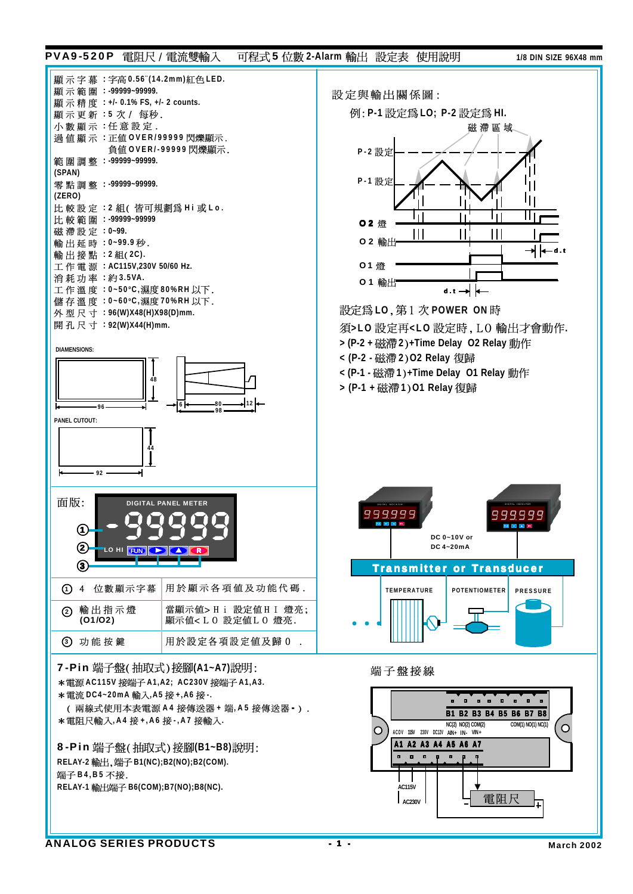## PVA9-520P 雷阳尺 / 雷流雙輪入 可程式 5 位數 2-Alarm 輸出 設定表 使用說明 2008 118 DIN SIZE 96X48 mm



8-Pin 端子盤(抽取式)接腳(B1~B8)說明: **RELAY-2 B1(NC);B2(NO);B2(COM).** 端子B4,B5 不接. **RELAY-1 B6(COM);B7(NO);B8(NC).**